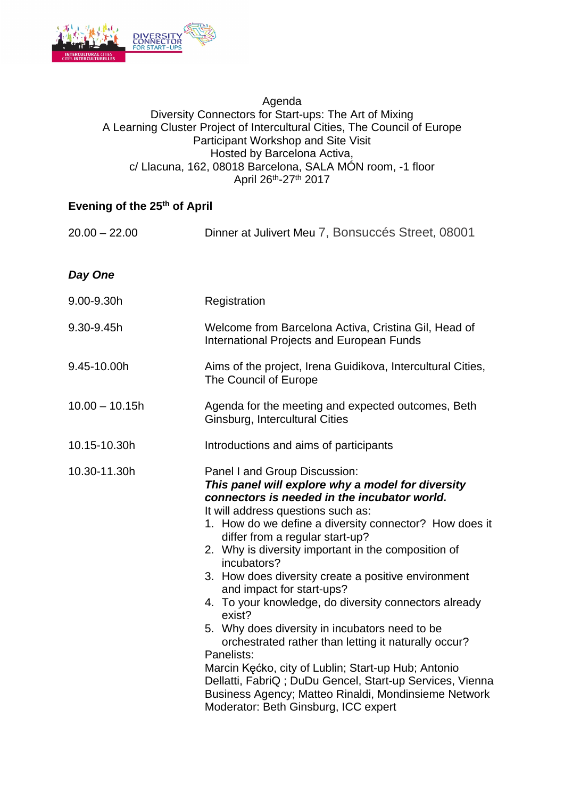

## Agenda Diversity Connectors for Start-ups: The Art of Mixing A Learning Cluster Project of Intercultural Cities, The Council of Europe Participant Workshop and Site Visit Hosted by Barcelona Activa, c/ Llacuna, 162, 08018 Barcelona, SALA MÓN room, -1 floor April 26th-27th 2017

## **Evening of the 25th of April**

| $20.00 - 22.00$  | Dinner at Julivert Meu 7, Bonsuccés Street, 08001                                                                                                                                                                                                                                                                                                                                                                                                                                                                                                                                                                                                                                                                                                                                                                                             |
|------------------|-----------------------------------------------------------------------------------------------------------------------------------------------------------------------------------------------------------------------------------------------------------------------------------------------------------------------------------------------------------------------------------------------------------------------------------------------------------------------------------------------------------------------------------------------------------------------------------------------------------------------------------------------------------------------------------------------------------------------------------------------------------------------------------------------------------------------------------------------|
| Day One          |                                                                                                                                                                                                                                                                                                                                                                                                                                                                                                                                                                                                                                                                                                                                                                                                                                               |
| 9.00-9.30h       | Registration                                                                                                                                                                                                                                                                                                                                                                                                                                                                                                                                                                                                                                                                                                                                                                                                                                  |
| 9.30-9.45h       | Welcome from Barcelona Activa, Cristina Gil, Head of<br><b>International Projects and European Funds</b>                                                                                                                                                                                                                                                                                                                                                                                                                                                                                                                                                                                                                                                                                                                                      |
| 9.45-10.00h      | Aims of the project, Irena Guidikova, Intercultural Cities,<br>The Council of Europe                                                                                                                                                                                                                                                                                                                                                                                                                                                                                                                                                                                                                                                                                                                                                          |
| $10.00 - 10.15h$ | Agenda for the meeting and expected outcomes, Beth<br>Ginsburg, Intercultural Cities                                                                                                                                                                                                                                                                                                                                                                                                                                                                                                                                                                                                                                                                                                                                                          |
| 10.15-10.30h     | Introductions and aims of participants                                                                                                                                                                                                                                                                                                                                                                                                                                                                                                                                                                                                                                                                                                                                                                                                        |
| 10.30-11.30h     | Panel I and Group Discussion:<br>This panel will explore why a model for diversity<br>connectors is needed in the incubator world.<br>It will address questions such as:<br>1. How do we define a diversity connector? How does it<br>differ from a regular start-up?<br>2. Why is diversity important in the composition of<br>incubators?<br>3. How does diversity create a positive environment<br>and impact for start-ups?<br>4. To your knowledge, do diversity connectors already<br>exist?<br>5. Why does diversity in incubators need to be<br>orchestrated rather than letting it naturally occur?<br>Panelists:<br>Marcin Kęćko, city of Lublin; Start-up Hub; Antonio<br>Dellatti, FabriQ; DuDu Gencel, Start-up Services, Vienna<br>Business Agency; Matteo Rinaldi, Mondinsieme Network<br>Moderator: Beth Ginsburg, ICC expert |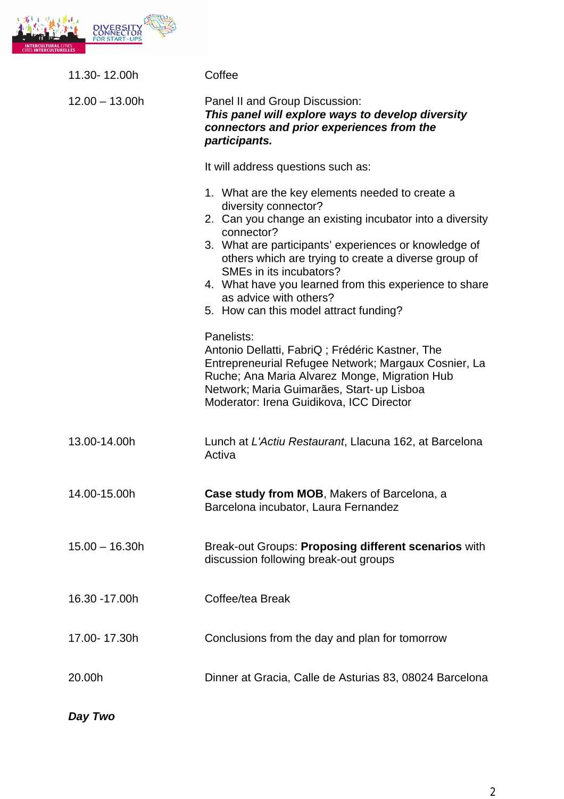

| 11.30-12.00h     | Coffee                                                                                                                                                                                                                                                                                                                                                                                                                                                                                       |
|------------------|----------------------------------------------------------------------------------------------------------------------------------------------------------------------------------------------------------------------------------------------------------------------------------------------------------------------------------------------------------------------------------------------------------------------------------------------------------------------------------------------|
| $12.00 - 13.00h$ | Panel II and Group Discussion:<br>This panel will explore ways to develop diversity<br>connectors and prior experiences from the<br>participants.                                                                                                                                                                                                                                                                                                                                            |
|                  | It will address questions such as:                                                                                                                                                                                                                                                                                                                                                                                                                                                           |
|                  | 1. What are the key elements needed to create a<br>diversity connector?<br>2. Can you change an existing incubator into a diversity<br>connector?<br>3. What are participants' experiences or knowledge of<br>others which are trying to create a diverse group of<br>SMEs in its incubators?<br>4. What have you learned from this experience to share<br>as advice with others?<br>5. How can this model attract funding?<br>Panelists:<br>Antonio Dellatti, FabriQ; Frédéric Kastner, The |
|                  | Entrepreneurial Refugee Network; Margaux Cosnier, La<br>Ruche; Ana Maria Alvarez Monge, Migration Hub<br>Network; Maria Guimarães, Start- up Lisboa<br>Moderator: Irena Guidikova, ICC Director                                                                                                                                                                                                                                                                                              |
| 13.00-14.00h     | Lunch at L'Actiu Restaurant, Llacuna 162, at Barcelona<br>Activa                                                                                                                                                                                                                                                                                                                                                                                                                             |
| 14.00-15.00h     | <b>Case study from MOB, Makers of Barcelona, a</b><br>Barcelona incubator, Laura Fernandez                                                                                                                                                                                                                                                                                                                                                                                                   |
| $15.00 - 16.30h$ | Break-out Groups: Proposing different scenarios with<br>discussion following break-out groups                                                                                                                                                                                                                                                                                                                                                                                                |
| 16.30 - 17.00h   | Coffee/tea Break                                                                                                                                                                                                                                                                                                                                                                                                                                                                             |
| 17.00-17.30h     | Conclusions from the day and plan for tomorrow                                                                                                                                                                                                                                                                                                                                                                                                                                               |
| 20.00h           | Dinner at Gracia, Calle de Asturias 83, 08024 Barcelona                                                                                                                                                                                                                                                                                                                                                                                                                                      |